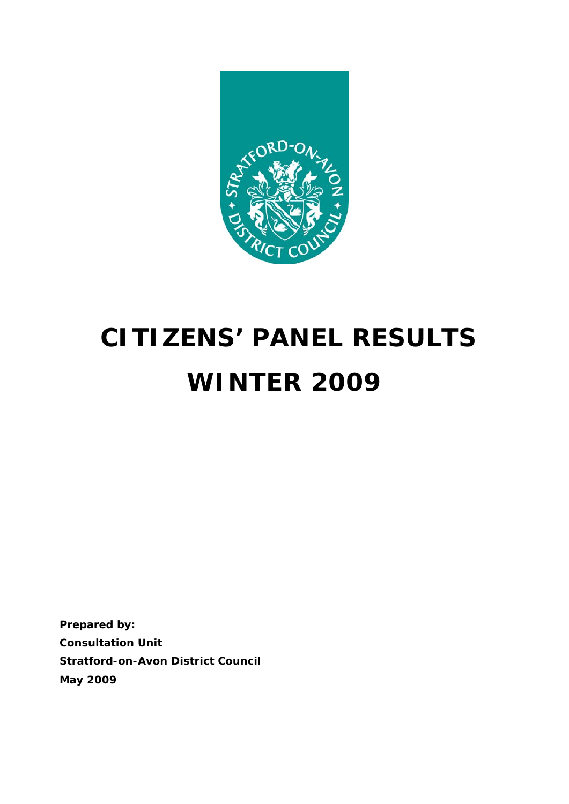

# **CITIZENS' PANEL RESULTS WINTER 2009**

**Prepared by: Consultation Unit Stratford-on-Avon District Council May 2009**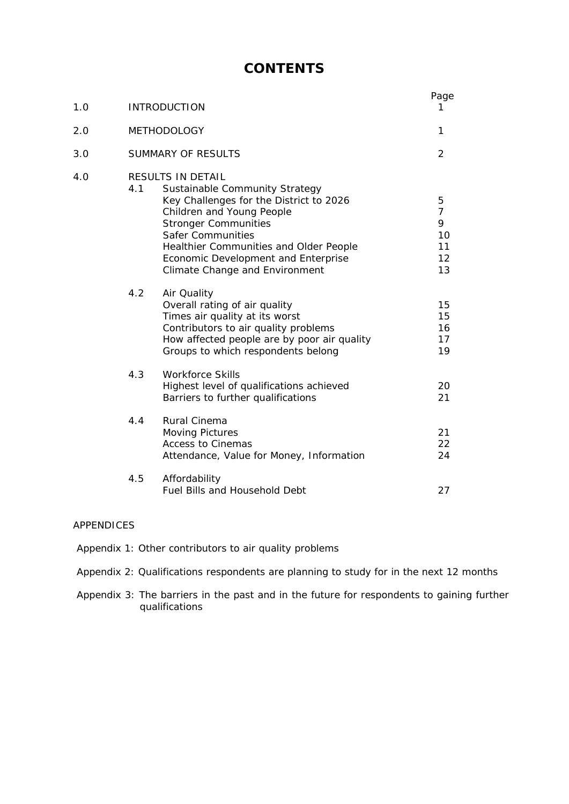# **CONTENTS**

| 1.0 | <b>INTRODUCTION</b>                                                                                                                                                                                                                                                                                                     | Page<br>1                                        |
|-----|-------------------------------------------------------------------------------------------------------------------------------------------------------------------------------------------------------------------------------------------------------------------------------------------------------------------------|--------------------------------------------------|
| 2.0 | <b>METHODOLOGY</b>                                                                                                                                                                                                                                                                                                      | 1                                                |
| 3.0 | SUMMARY OF RESULTS                                                                                                                                                                                                                                                                                                      | $\overline{2}$                                   |
| 4.0 | RESULTS IN DETAIL<br>4.1<br>Sustainable Community Strategy<br>Key Challenges for the District to 2026<br>Children and Young People<br><b>Stronger Communities</b><br><b>Safer Communities</b><br>Healthier Communities and Older People<br>Economic Development and Enterprise<br><b>Climate Change and Environment</b> | 5<br>$\overline{7}$<br>9<br>10<br>11<br>12<br>13 |
|     | 4.2<br>Air Quality<br>Overall rating of air quality<br>Times air quality at its worst<br>Contributors to air quality problems<br>How affected people are by poor air quality<br>Groups to which respondents belong                                                                                                      | 15<br>15<br>16<br>17<br>19                       |
|     | 4.3<br><b>Workforce Skills</b><br>Highest level of qualifications achieved<br>Barriers to further qualifications                                                                                                                                                                                                        | 20<br>21                                         |
|     | 4.4<br>Rural Cinema<br><b>Moving Pictures</b><br><b>Access to Cinemas</b><br>Attendance, Value for Money, Information                                                                                                                                                                                                   | 21<br>22<br>24                                   |
|     | 4.5<br>Affordability<br><b>Fuel Bills and Household Debt</b>                                                                                                                                                                                                                                                            | 27                                               |

#### APPENDICES

- Appendix 1: Other contributors to air quality problems
- Appendix 2: Qualifications respondents are planning to study for in the next 12 months
- Appendix 3: The barriers in the past and in the future for respondents to gaining further qualifications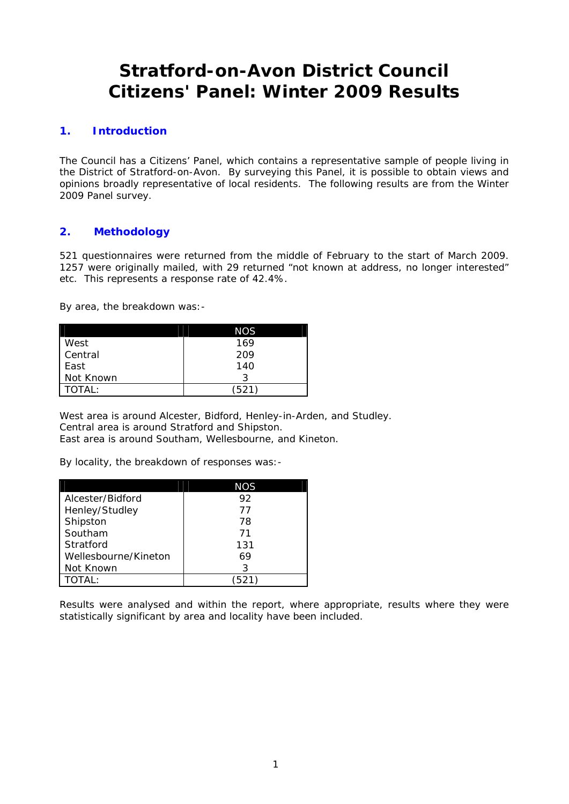# **Stratford-on-Avon District Council Citizens' Panel: Winter 2009 Results**

#### **1. Introduction**

The Council has a Citizens' Panel, which contains a representative sample of people living in the District of Stratford-on-Avon. By surveying this Panel, it is possible to obtain views and opinions broadly representative of local residents. The following results are from the Winter 2009 Panel survey.

## **2. Methodology**

521 questionnaires were returned from the middle of February to the start of March 2009. 1257 were originally mailed, with 29 returned "not known at address, no longer interested" etc. This represents a response rate of 42.4%.

By area, the breakdown was:-

|             | NOS |
|-------------|-----|
| <b>West</b> | 169 |
| Central     | 209 |
| <b>East</b> | 140 |
| Not Known   |     |
| ΓΟΤΑΙ :     | 521 |

West area is around Alcester, Bidford, Henley-in-Arden, and Studley. Central area is around Stratford and Shipston. East area is around Southam, Wellesbourne, and Kineton.

By locality, the breakdown of responses was:-

|                      | NOS   |
|----------------------|-------|
| Alcester/Bidford     | 92    |
| Henley/Studley       | 77    |
| Shipston             | 78    |
| Southam              | 71    |
| Stratford            | 131   |
| Wellesbourne/Kineton | 69    |
| Not Known            | 3     |
| : וAT                | ′521) |

Results were analysed and within the report, where appropriate, results where they were statistically significant by area and locality have been included.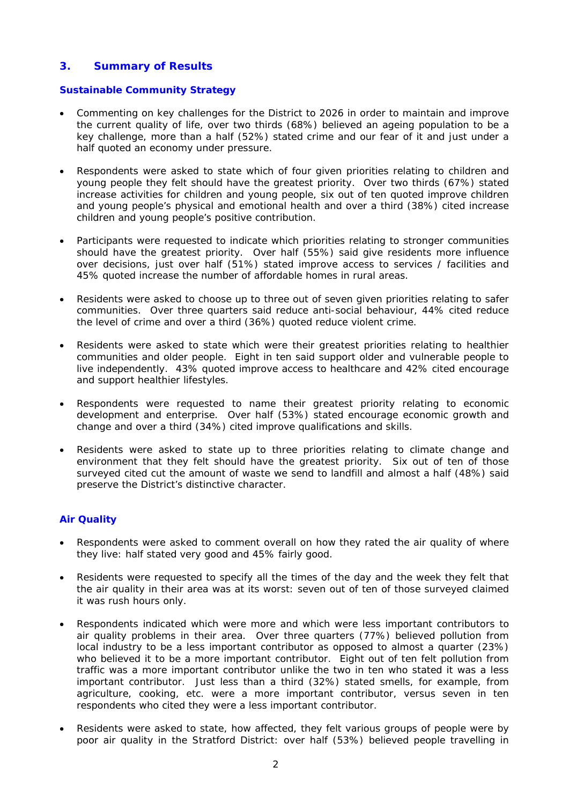### **3. Summary of Results**

#### **Sustainable Community Strategy**

- Commenting on key challenges for the District to 2026 in order to maintain and improve the current quality of life, over two thirds (68%) believed an ageing population to be a key challenge, more than a half (52%) stated crime and our fear of it and just under a half quoted an economy under pressure.
- Respondents were asked to state which of four given priorities relating to children and young people they felt should have the greatest priority. Over two thirds (67%) stated increase activities for children and young people, six out of ten quoted improve children and young people's physical and emotional health and over a third (38%) cited increase children and young people's positive contribution.
- Participants were requested to indicate which priorities relating to stronger communities should have the greatest priority. Over half (55%) said give residents more influence over decisions, just over half (51%) stated improve access to services / facilities and 45% quoted increase the number of affordable homes in rural areas.
- Residents were asked to choose up to three out of seven given priorities relating to safer communities. Over three quarters said reduce anti-social behaviour, 44% cited reduce the level of crime and over a third (36%) quoted reduce violent crime.
- Residents were asked to state which were their greatest priorities relating to healthier communities and older people. Eight in ten said support older and vulnerable people to live independently. 43% quoted improve access to healthcare and 42% cited encourage and support healthier lifestyles.
- Respondents were requested to name their greatest priority relating to economic development and enterprise. Over half (53%) stated encourage economic growth and change and over a third (34%) cited improve qualifications and skills.
- Residents were asked to state up to three priorities relating to climate change and environment that they felt should have the greatest priority. Six out of ten of those surveyed cited cut the amount of waste we send to landfill and almost a half (48%) said preserve the District's distinctive character.

#### **Air Quality**

- Respondents were asked to comment overall on how they rated the air quality of where they live: half stated very good and 45% fairly good.
- Residents were requested to specify all the times of the day and the week they felt that the air quality in their area was at its worst: seven out of ten of those surveyed claimed it was rush hours only.
- Respondents indicated which were more and which were less important contributors to air quality problems in their area. Over three quarters (77%) believed pollution from local industry to be a less important contributor as opposed to almost a quarter (23%) who believed it to be a more important contributor. Eight out of ten felt pollution from traffic was a more important contributor unlike the two in ten who stated it was a less important contributor. Just less than a third (32%) stated smells, for example, from agriculture, cooking, etc. were a more important contributor, versus seven in ten respondents who cited they were a less important contributor.
- Residents were asked to state, how affected, they felt various groups of people were by poor air quality in the Stratford District: over half (53%) believed people travelling in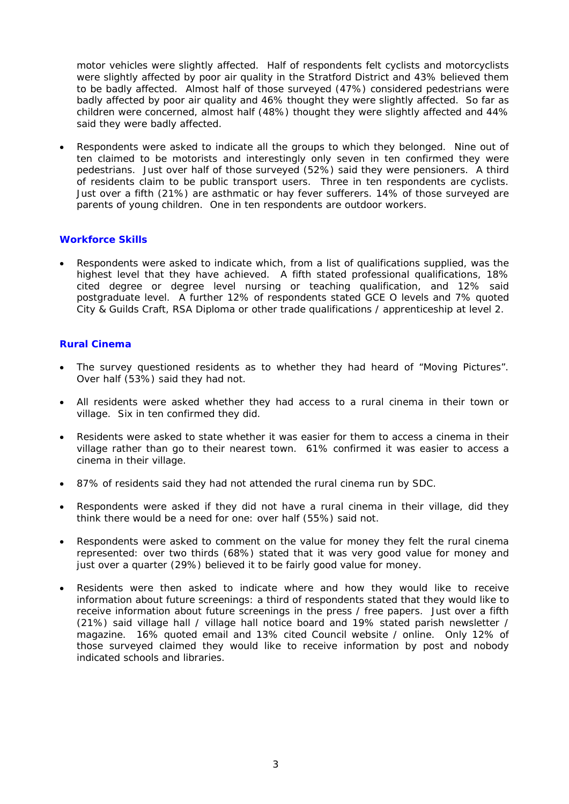motor vehicles were slightly affected. Half of respondents felt cyclists and motorcyclists were slightly affected by poor air quality in the Stratford District and 43% believed them to be badly affected. Almost half of those surveyed (47%) considered pedestrians were badly affected by poor air quality and 46% thought they were slightly affected. So far as children were concerned, almost half (48%) thought they were slightly affected and 44% said they were badly affected.

• Respondents were asked to indicate all the groups to which they belonged. Nine out of ten claimed to be motorists and interestingly only seven in ten confirmed they were pedestrians. Just over half of those surveyed (52%) said they were pensioners. A third of residents claim to be public transport users. Three in ten respondents are cyclists. Just over a fifth (21%) are asthmatic or hay fever sufferers. 14% of those surveyed are parents of young children. One in ten respondents are outdoor workers.

#### **Workforce Skills**

• Respondents were asked to indicate which, from a list of qualifications supplied, was the highest level that they have achieved. A fifth stated professional qualifications, 18% cited degree or degree level nursing or teaching qualification, and 12% said postgraduate level. A further 12% of respondents stated GCE O levels and 7% quoted City & Guilds Craft, RSA Diploma or other trade qualifications / apprenticeship at level 2.

#### **Rural Cinema**

- The survey questioned residents as to whether they had heard of "Moving Pictures". Over half (53%) said they had not.
- All residents were asked whether they had access to a rural cinema in their town or village. Six in ten confirmed they did.
- Residents were asked to state whether it was easier for them to access a cinema in their village rather than go to their nearest town. 61% confirmed it was easier to access a cinema in their village.
- 87% of residents said they had not attended the rural cinema run by SDC.
- Respondents were asked if they did not have a rural cinema in their village, did they think there would be a need for one: over half (55%) said not.
- Respondents were asked to comment on the value for money they felt the rural cinema represented: over two thirds (68%) stated that it was very good value for money and just over a quarter (29%) believed it to be fairly good value for money.
- Residents were then asked to indicate where and how they would like to receive information about future screenings: a third of respondents stated that they would like to receive information about future screenings in the press / free papers. Just over a fifth (21%) said village hall / village hall notice board and 19% stated parish newsletter / magazine. 16% quoted email and 13% cited Council website / online. Only 12% of those surveyed claimed they would like to receive information by post and nobody indicated schools and libraries.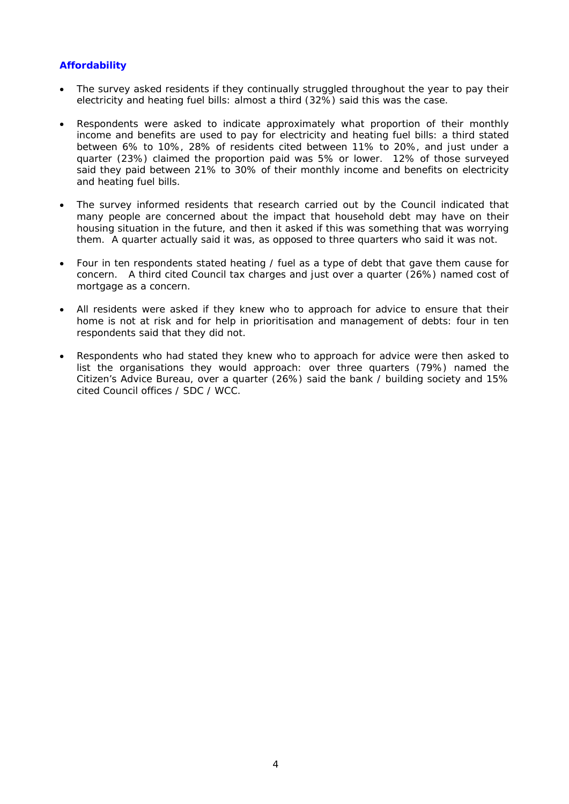#### **Affordability**

- The survey asked residents if they continually struggled throughout the year to pay their electricity and heating fuel bills: almost a third (32%) said this was the case.
- Respondents were asked to indicate approximately what proportion of their monthly income and benefits are used to pay for electricity and heating fuel bills: a third stated between 6% to 10%, 28% of residents cited between 11% to 20%, and just under a quarter (23%) claimed the proportion paid was 5% or lower. 12% of those surveyed said they paid between 21% to 30% of their monthly income and benefits on electricity and heating fuel bills.
- The survey informed residents that research carried out by the Council indicated that many people are concerned about the impact that household debt may have on their housing situation in the future, and then it asked if this was something that was worrying them. A quarter actually said it was, as opposed to three quarters who said it was not.
- Four in ten respondents stated heating / fuel as a type of debt that gave them cause for concern. A third cited Council tax charges and just over a quarter (26%) named cost of mortgage as a concern.
- All residents were asked if they knew who to approach for advice to ensure that their home is not at risk and for help in prioritisation and management of debts: four in ten respondents said that they did not.
- Respondents who had stated they knew who to approach for advice were then asked to list the organisations they would approach: over three quarters (79%) named the Citizen's Advice Bureau, over a quarter (26%) said the bank / building society and 15% cited Council offices / SDC / WCC.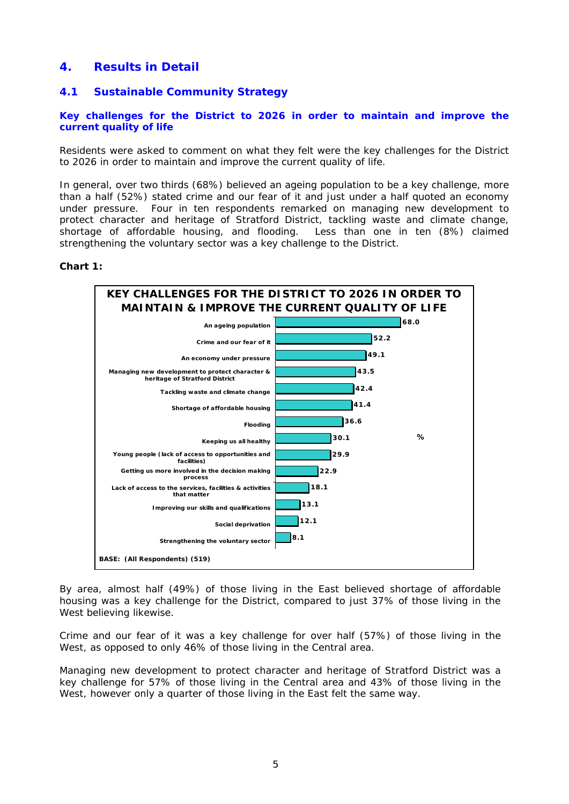# **4. Results in Detail**

#### **4.1 Sustainable Community Strategy**

#### **Key challenges for the District to 2026 in order to maintain and improve the current quality of life**

Residents were asked to comment on what they felt were the key challenges for the District to 2026 in order to maintain and improve the current quality of life.

In general, over two thirds (68%) believed an ageing population to be a key challenge, more than a half (52%) stated crime and our fear of it and just under a half quoted an economy under pressure. Four in ten respondents remarked on managing new development to protect character and heritage of Stratford District, tackling waste and climate change, shortage of affordable housing, and flooding. Less than one in ten (8%) claimed strengthening the voluntary sector was a key challenge to the District.

#### **Chart 1:**



By area, almost half (49%) of those living in the East believed shortage of affordable housing was a key challenge for the District, compared to just 37% of those living in the West believing likewise.

Crime and our fear of it was a key challenge for over half (57%) of those living in the West, as opposed to only 46% of those living in the Central area.

Managing new development to protect character and heritage of Stratford District was a key challenge for 57% of those living in the Central area and 43% of those living in the West, however only a quarter of those living in the East felt the same way.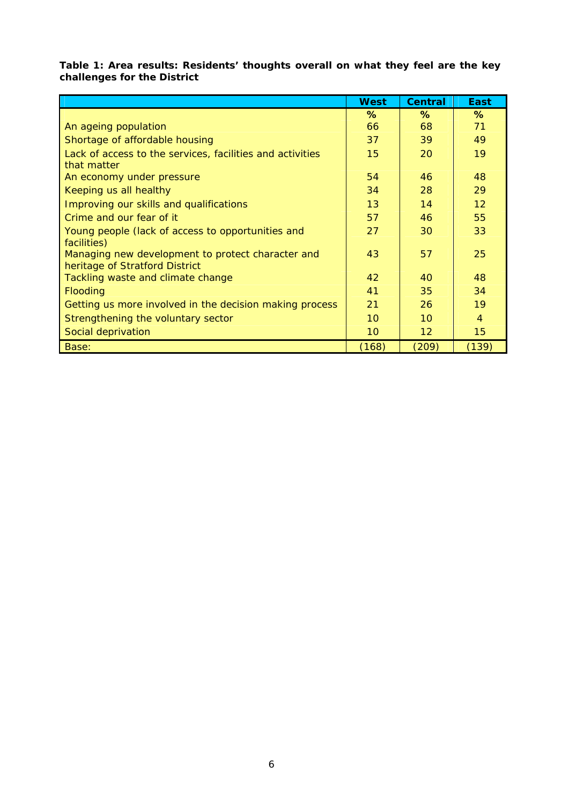**Table 1: Area results: Residents' thoughts overall on what they feel are the key challenges for the District** 

|                                                           | <b>West</b>     | <b>Central</b>    | <b>East</b> |
|-----------------------------------------------------------|-----------------|-------------------|-------------|
|                                                           | $\%$            | $\%$              | $\%$        |
| An ageing population                                      | 66              | 68                | 71          |
| Shortage of affordable housing                            | 37              | 39                | 49          |
| Lack of access to the services, facilities and activities | 15              | 20                | 19          |
| that matter                                               |                 |                   |             |
| An economy under pressure                                 | 54              | 46                | 48          |
| Keeping us all healthy                                    | 34              | 28                | 29          |
| Improving our skills and qualifications                   | 13              | 14                | 12          |
| Crime and our fear of it                                  | 57              | 46                | 55          |
| Young people (lack of access to opportunities and         | 27              | 30                | 33          |
| facilities)                                               |                 |                   |             |
| Managing new development to protect character and         | 43              | 57                | 25          |
| heritage of Stratford District                            |                 |                   |             |
| Tackling waste and climate change                         | 42              | 40                | 48          |
| Flooding                                                  | 41              | 35                | 34          |
| Getting us more involved in the decision making process   | 21              | 26                | 19          |
| Strengthening the voluntary sector                        | 10 <sup>°</sup> | 10 <sup>°</sup>   | 4           |
| Social deprivation                                        | 10              | $12 \overline{ }$ | 15          |
| Base:                                                     | (168)           | (209)             | (139)       |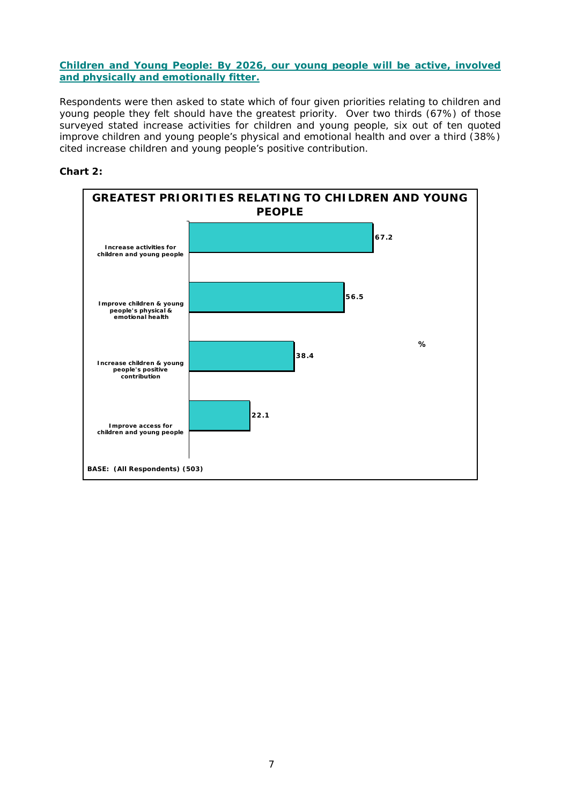#### **Children and Young People: By 2026, our young people will be active, involved and physically and emotionally fitter.**

Respondents were then asked to state which of four given priorities relating to children and young people they felt should have the greatest priority. Over two thirds (67%) of those surveyed stated increase activities for children and young people, six out of ten quoted improve children and young people's physical and emotional health and over a third (38%) cited increase children and young people's positive contribution.



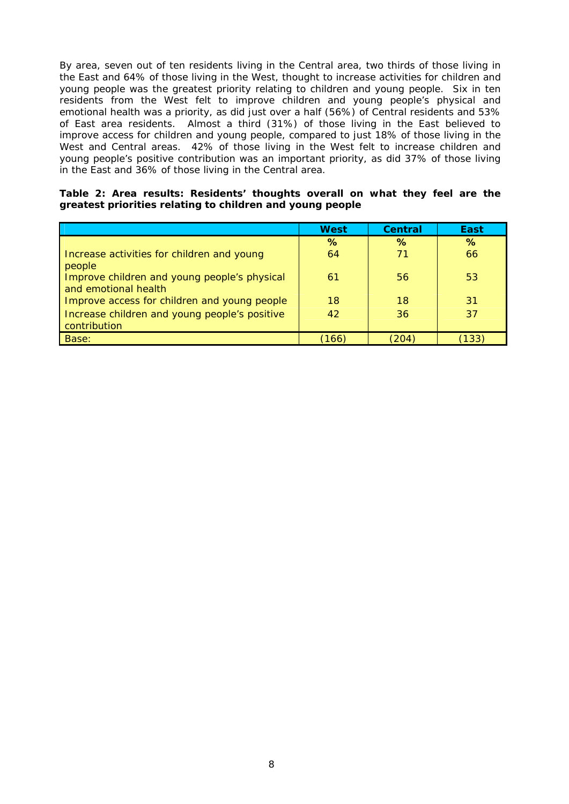By area, seven out of ten residents living in the Central area, two thirds of those living in the East and 64% of those living in the West, thought to increase activities for children and young people was the greatest priority relating to children and young people. Six in ten residents from the West felt to improve children and young people's physical and emotional health was a priority, as did just over a half (56%) of Central residents and 53% of East area residents. Almost a third (31%) of those living in the East believed to improve access for children and young people, compared to just 18% of those living in the West and Central areas. 42% of those living in the West felt to increase children and young people's positive contribution was an important priority, as did 37% of those living in the East and 36% of those living in the Central area.

|  |  | Table 2: Area results: Residents' thoughts overall on what they feel are the |  |  |  |  |
|--|--|------------------------------------------------------------------------------|--|--|--|--|
|  |  | greatest priorities relating to children and young people                    |  |  |  |  |

|                                                                      | <b>West</b> | <b>Central</b> | <b>East</b> |
|----------------------------------------------------------------------|-------------|----------------|-------------|
|                                                                      | $\%$        | $\%$           | %           |
| Increase activities for children and young<br>people                 | 64          | 71             | 66          |
| Improve children and young people's physical<br>and emotional health | 61          | 56             | 53          |
| Improve access for children and young people                         | 18          | 18             | 31          |
| Increase children and young people's positive<br>contribution        | 42          | 36             | 37          |
| Base:                                                                | (166)       | (204)          | (133)       |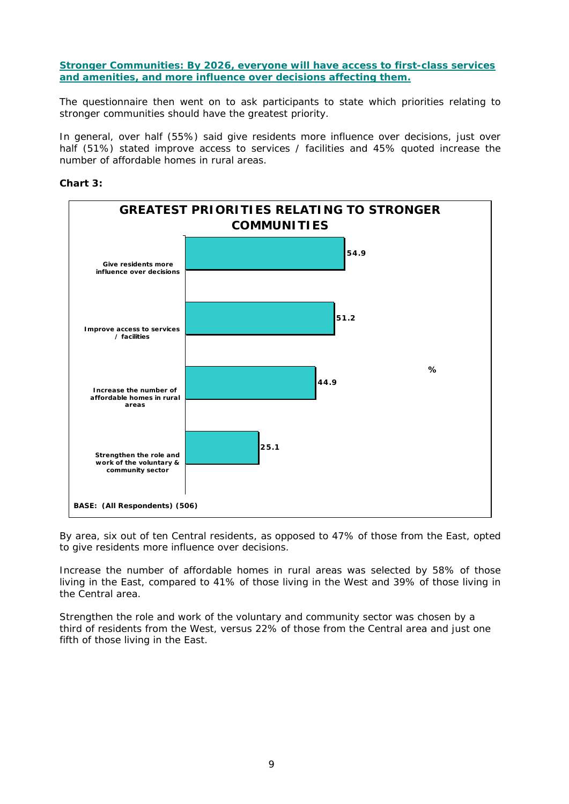**Stronger Communities: By 2026, everyone will have access to first-class services and amenities, and more influence over decisions affecting them.**

The questionnaire then went on to ask participants to state which priorities relating to stronger communities should have the greatest priority.

In general, over half (55%) said give residents more influence over decisions, just over half (51%) stated improve access to services / facilities and 45% quoted increase the number of affordable homes in rural areas.

#### **Chart 3:**



By area, six out of ten Central residents, as opposed to 47% of those from the East, opted to give residents more influence over decisions.

Increase the number of affordable homes in rural areas was selected by 58% of those living in the East, compared to 41% of those living in the West and 39% of those living in the Central area.

Strengthen the role and work of the voluntary and community sector was chosen by a third of residents from the West, versus 22% of those from the Central area and just one fifth of those living in the East.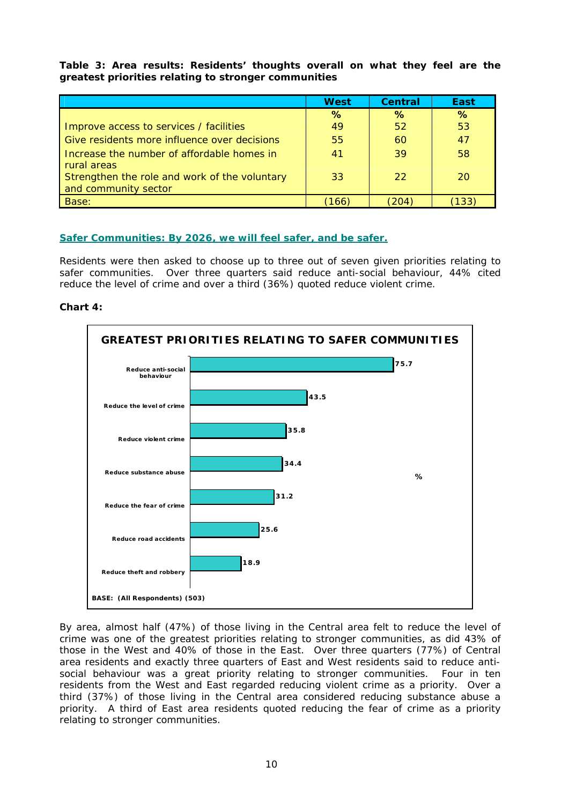#### **Table 3: Area results: Residents' thoughts overall on what they feel are the greatest priorities relating to stronger communities**

|                                               | <b>West</b> | <b>Central</b> | East |
|-----------------------------------------------|-------------|----------------|------|
|                                               | %           | $\%$           | %    |
| Improve access to services / facilities       | 49          | 52             | 53   |
| Give residents more influence over decisions  | 55          | 60             | 47   |
| Increase the number of affordable homes in    | 41          | 39             | 58   |
| rural areas                                   |             |                |      |
| Strengthen the role and work of the voluntary | 33          | 22             | 20   |
| and community sector                          |             |                |      |
| Base:                                         | 166         | 204            | 133  |

#### **Safer Communities: By 2026, we will feel safer, and be safer.**

Residents were then asked to choose up to three out of seven given priorities relating to safer communities. Over three quarters said reduce anti-social behaviour, 44% cited reduce the level of crime and over a third (36%) quoted reduce violent crime.





By area, almost half (47%) of those living in the Central area felt to reduce the level of crime was one of the greatest priorities relating to stronger communities, as did 43% of those in the West and 40% of those in the East. Over three quarters (77%) of Central area residents and exactly three quarters of East and West residents said to reduce antisocial behaviour was a great priority relating to stronger communities. Four in ten residents from the West and East regarded reducing violent crime as a priority. Over a third (37%) of those living in the Central area considered reducing substance abuse a priority. A third of East area residents quoted reducing the fear of crime as a priority relating to stronger communities.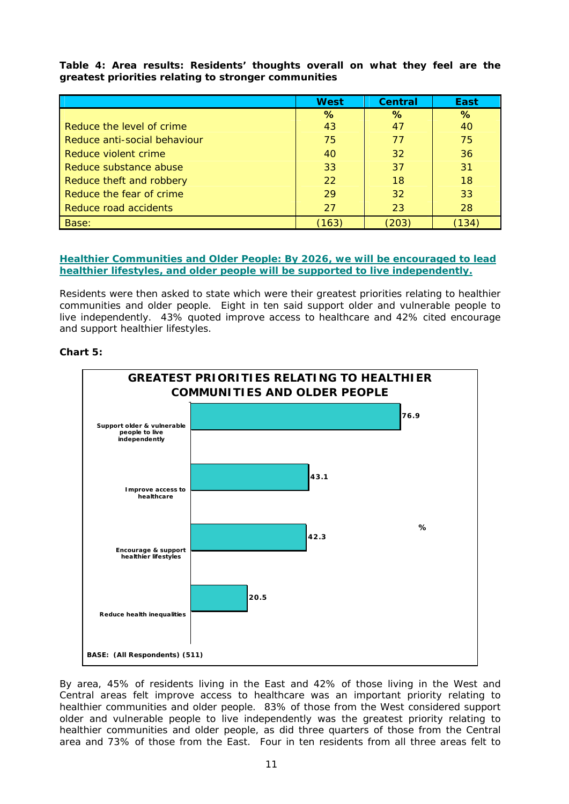**Table 4: Area results: Residents' thoughts overall on what they feel are the greatest priorities relating to stronger communities**

|                              | <b>West</b> | <b>Central</b> | East                    |
|------------------------------|-------------|----------------|-------------------------|
|                              | %           | %              | $\%$                    |
| Reduce the level of crime    | 43          | 47             | 40                      |
| Reduce anti-social behaviour | 75          | 77             | 75                      |
| Reduce violent crime         | 40          | 32             | 36                      |
| Reduce substance abuse       | 33          | 37             | 31                      |
| Reduce theft and robbery     | 22          | 18             | 18                      |
| Reduce the fear of crime     | 29          | 32             | 33                      |
| Reduce road accidents        | 27          | 23             | 28                      |
| Base:                        | (163)       | 203            | $^{\prime}134^{\prime}$ |

**Healthier Communities and Older People: By 2026, we will be encouraged to lead healthier lifestyles, and older people will be supported to live independently.**

Residents were then asked to state which were their greatest priorities relating to healthier communities and older people. Eight in ten said support older and vulnerable people to live independently. 43% quoted improve access to healthcare and 42% cited encourage and support healthier lifestyles.

#### **Chart 5:**



By area, 45% of residents living in the East and 42% of those living in the West and Central areas felt improve access to healthcare was an important priority relating to healthier communities and older people. 83% of those from the West considered support older and vulnerable people to live independently was the greatest priority relating to healthier communities and older people, as did three quarters of those from the Central area and 73% of those from the East. Four in ten residents from all three areas felt to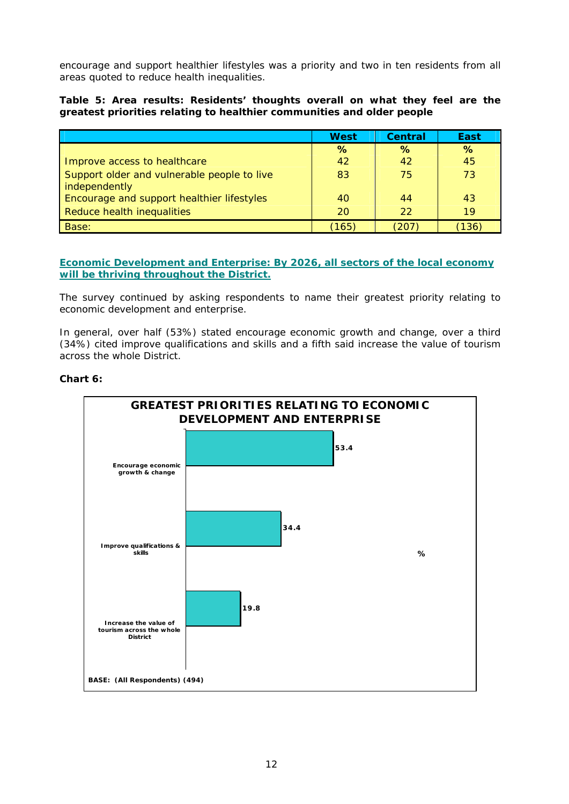encourage and support healthier lifestyles was a priority and two in ten residents from all areas quoted to reduce health inequalities.

#### **Table 5: Area results: Residents' thoughts overall on what they feel are the greatest priorities relating to healthier communities and older people**

|                                                             | <b>West</b> | <b>Central</b> | East            |
|-------------------------------------------------------------|-------------|----------------|-----------------|
|                                                             | $\%$        | $\%$           | $\%$            |
| Improve access to healthcare                                | 42          | 42             | 45              |
| Support older and vulnerable people to live                 | 83          | 75             | 73              |
| independently<br>Encourage and support healthier lifestyles | 40          | 44             | 43              |
| Reduce health inequalities                                  | 20          | 22             | 19 <sup>°</sup> |
|                                                             |             |                |                 |
| Base:                                                       | (165)       | 207            | 136             |

**Economic Development and Enterprise: By 2026, all sectors of the local economy will be thriving throughout the District.** 

The survey continued by asking respondents to name their greatest priority relating to economic development and enterprise.

In general, over half (53%) stated encourage economic growth and change, over a third (34%) cited improve qualifications and skills and a fifth said increase the value of tourism across the whole District.



#### **Chart 6:**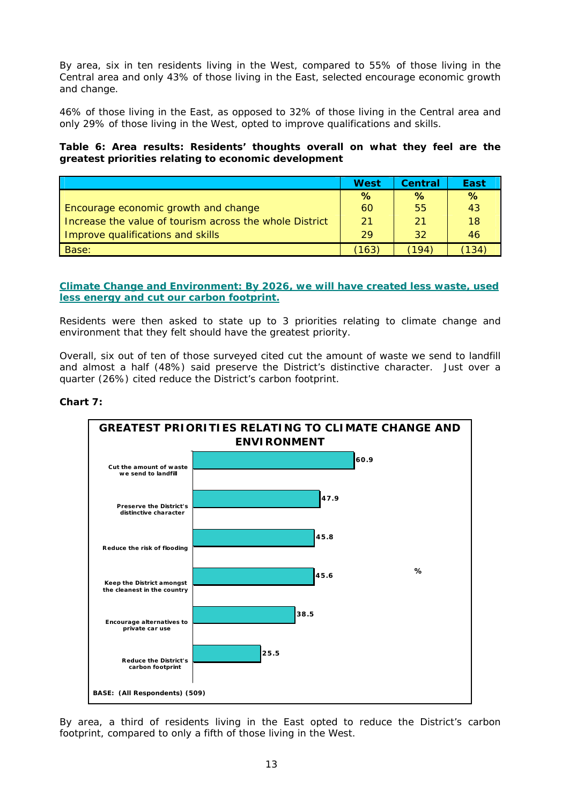By area, six in ten residents living in the West, compared to 55% of those living in the Central area and only 43% of those living in the East, selected encourage economic growth and change.

46% of those living in the East, as opposed to 32% of those living in the Central area and only 29% of those living in the West, opted to improve qualifications and skills.

#### **Table 6: Area results: Residents' thoughts overall on what they feel are the greatest priorities relating to economic development**

|                                                         | West | Central | East |
|---------------------------------------------------------|------|---------|------|
|                                                         | $\%$ | %       | $\%$ |
| Encourage economic growth and change                    | 60   | 55      | 43   |
| Increase the value of tourism across the whole District | 21   | 21      | 18   |
| Improve qualifications and skills                       | 29   | 32      | 46   |
| Base:                                                   | 163  |         | 134  |

**Climate Change and Environment: By 2026, we will have created less waste, used less energy and cut our carbon footprint.**

Residents were then asked to state up to 3 priorities relating to climate change and environment that they felt should have the greatest priority.

Overall, six out of ten of those surveyed cited cut the amount of waste we send to landfill and almost a half (48%) said preserve the District's distinctive character. Just over a quarter (26%) cited reduce the District's carbon footprint.



#### **Chart 7:**

By area, a third of residents living in the East opted to reduce the District's carbon footprint, compared to only a fifth of those living in the West.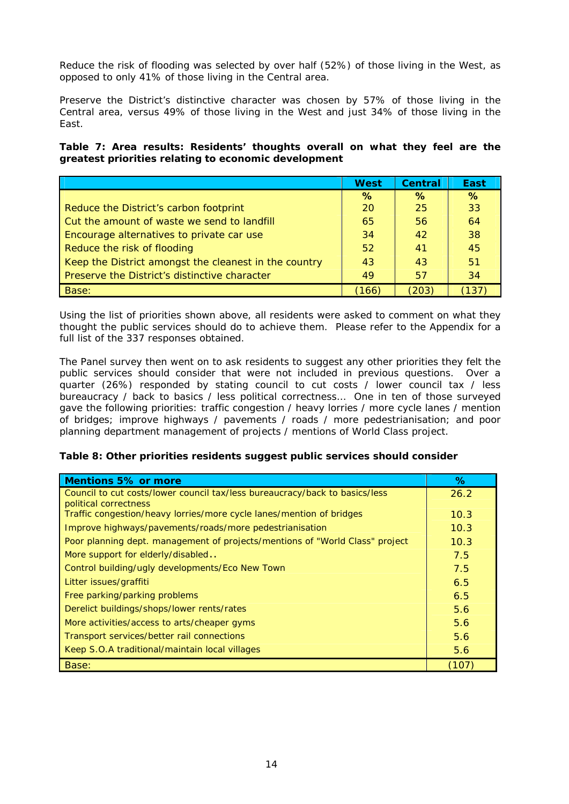Reduce the risk of flooding was selected by over half (52%) of those living in the West, as opposed to only 41% of those living in the Central area.

Preserve the District's distinctive character was chosen by 57% of those living in the Central area, versus 49% of those living in the West and just 34% of those living in the East.

**Table 7: Area results: Residents' thoughts overall on what they feel are the greatest priorities relating to economic development** 

|                                                       | <b>West</b> | <b>Central</b> | East |
|-------------------------------------------------------|-------------|----------------|------|
|                                                       | $\%$        | $\%$           | $\%$ |
| Reduce the District's carbon footprint                | 20          | 25             | 33   |
| Cut the amount of waste we send to landfill           | 65          | 56             | 64   |
| Encourage alternatives to private car use             | 34          | 42             | 38   |
| Reduce the risk of flooding                           | 52          | 41             | 45   |
| Keep the District amongst the cleanest in the country | 43          | 43             | 51   |
| Preserve the District's distinctive character         | 49          | 57             | 34   |
| Base:                                                 | 166         | 203)           | 137  |

Using the list of priorities shown above, all residents were asked to comment on what they thought the public services should do to achieve them. Please refer to the Appendix for a full list of the 337 responses obtained.

The Panel survey then went on to ask residents to suggest any other priorities they felt the public services should consider that were not included in previous questions. Over a quarter (26%) responded by stating council to cut costs / lower council tax / less bureaucracy / back to basics / less political correctness… One in ten of those surveyed gave the following priorities: traffic congestion / heavy lorries / more cycle lanes / mention of bridges; improve highways / pavements / roads / more pedestrianisation; and poor planning department management of projects / mentions of World Class project.

#### **Table 8: Other priorities residents suggest public services should consider**

| <b>Mentions 5% or more</b>                                                                           | ℅    |
|------------------------------------------------------------------------------------------------------|------|
| Council to cut costs/lower council tax/less bureaucracy/back to basics/less<br>political correctness | 26.2 |
| Traffic congestion/heavy lorries/more cycle lanes/mention of bridges                                 | 10.3 |
| Improve highways/pavements/roads/more pedestrianisation                                              | 10.3 |
| Poor planning dept. management of projects/mentions of "World Class" project                         | 10.3 |
| More support for elderly/disabled                                                                    | 7.5  |
| Control building/ugly developments/Eco New Town                                                      | 7.5  |
| Litter issues/graffiti                                                                               | 6.5  |
| Free parking/parking problems                                                                        | 6.5  |
| Derelict buildings/shops/lower rents/rates                                                           | 5.6  |
| More activities/access to arts/cheaper gyms                                                          | 5.6  |
| Transport services/better rail connections                                                           | 5.6  |
| Keep S.O.A traditional/maintain local villages                                                       | 5.6  |
| Base:                                                                                                | 107  |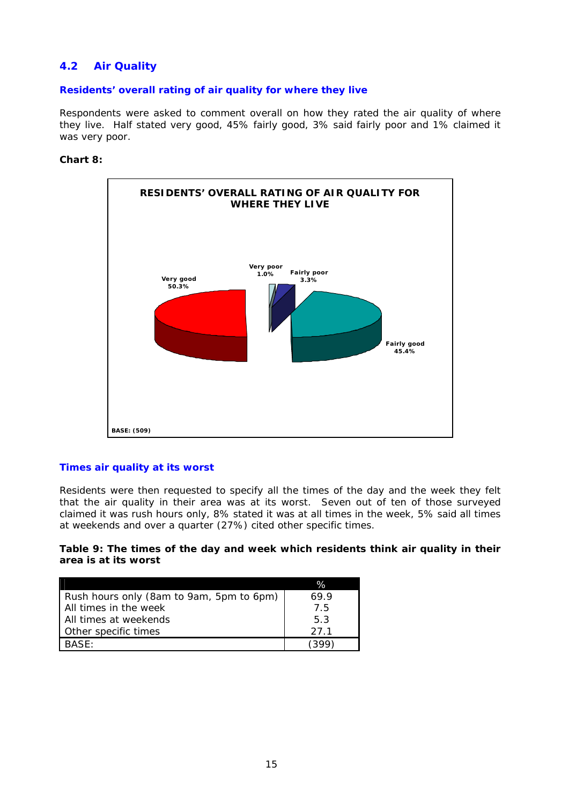# **4.2 Air Quality**

#### **Residents' overall rating of air quality for where they live**

Respondents were asked to comment overall on how they rated the air quality of where they live. Half stated very good, 45% fairly good, 3% said fairly poor and 1% claimed it was very poor.

#### **Chart 8:**



#### **Times air quality at its worst**

Residents were then requested to specify all the times of the day and the week they felt that the air quality in their area was at its worst. Seven out of ten of those surveyed claimed it was rush hours only, 8% stated it was at all times in the week, 5% said all times at weekends and over a quarter (27%) cited other specific times.

#### **Table 9: The times of the day and week which residents think air quality in their area is at its worst**

|                                          | $\%$ |
|------------------------------------------|------|
| Rush hours only (8am to 9am, 5pm to 6pm) | 69.9 |
| All times in the week                    | 75   |
| All times at weekends                    | 53   |
| Other specific times                     | 27 1 |
| <b>BASE:</b>                             |      |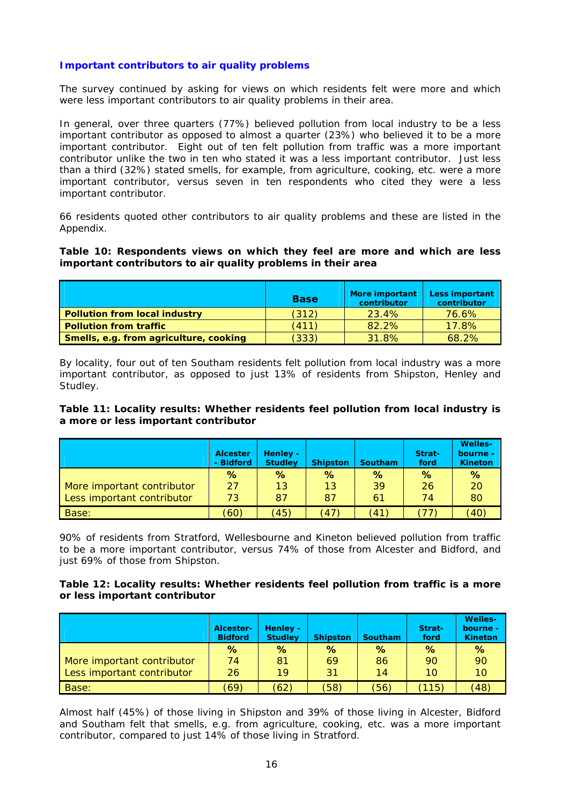#### **Important contributors to air quality problems**

The survey continued by asking for views on which residents felt were more and which were less important contributors to air quality problems in their area.

In general, over three quarters (77%) believed pollution from local industry to be a less important contributor as opposed to almost a quarter (23%) who believed it to be a more important contributor. Eight out of ten felt pollution from traffic was a more important contributor unlike the two in ten who stated it was a less important contributor. Just less than a third (32%) stated smells, for example, from agriculture, cooking, etc. were a more important contributor, versus seven in ten respondents who cited they were a less important contributor.

66 residents quoted other contributors to air quality problems and these are listed in the Appendix.

#### **Table 10: Respondents views on which they feel are more and which are less important contributors to air quality problems in their area**

|                                        | <b>Base</b> | <b>More important</b><br>contributor | <b>Less important</b><br>contributor |
|----------------------------------------|-------------|--------------------------------------|--------------------------------------|
| <b>Pollution from local industry</b>   | (312)       | 23.4%                                | 76.6%                                |
| <b>Pollution from traffic</b>          | (411)       | 82.2%                                | 17.8%                                |
| Smells, e.g. from agriculture, cooking | (333)       | 31.8%                                | 68.2%                                |

By locality, four out of ten Southam residents felt pollution from local industry was a more important contributor, as opposed to just 13% of residents from Shipston, Henley and Studley.

#### **Table 11: Locality results: Whether residents feel pollution from local industry is a more or less important contributor**

|                            | <b>Alcester</b><br>- Bidford | Henley -<br><b>Studley</b> | <b>Shipston</b> | <b>Southam</b>             | Strat-<br>ford | <b>Welles-</b><br>bourne -<br><b>Kineton</b> |
|----------------------------|------------------------------|----------------------------|-----------------|----------------------------|----------------|----------------------------------------------|
|                            | $\%$                         | %                          | %               | $\%$                       | %              | $\%$                                         |
| More important contributor | 27                           | 13                         | 13              | 39                         | 26             | 20                                           |
| Less important contributor | 73                           | 87                         | 87              | 61                         | 74             | 80                                           |
| Base:                      | (60)                         | (45)                       | (47)            | $^{\prime}$ 41 $^{\prime}$ | 77             | $40^\circ$                                   |

90% of residents from Stratford, Wellesbourne and Kineton believed pollution from traffic to be a more important contributor, versus 74% of those from Alcester and Bidford, and just 69% of those from Shipston.

#### **Table 12: Locality results: Whether residents feel pollution from traffic is a more or less important contributor**

|                            | Alcester-<br><b>Bidford</b> | Henley -<br><b>Studley</b> | <b>Shipston</b> | <b>Southam</b> | Strat-<br>ford | <b>Welles-</b><br>bourne -<br><b>Kineton</b> |
|----------------------------|-----------------------------|----------------------------|-----------------|----------------|----------------|----------------------------------------------|
|                            | $\%$                        | $\%$                       | %               | %              | %              | $\%$                                         |
| More important contributor | 74                          | 81                         | 69              | 86             | 90             | 90                                           |
| Less important contributor | 26                          | 19                         | 31              | 14             | 10             | 10                                           |
| <b>Base:</b>               | (69)                        | (62)                       | (58)            | (56)           | 115)           | $^{\prime}48^{\prime}$                       |

Almost half (45%) of those living in Shipston and 39% of those living in Alcester, Bidford and Southam felt that smells, e.g. from agriculture, cooking, etc. was a more important contributor, compared to just 14% of those living in Stratford.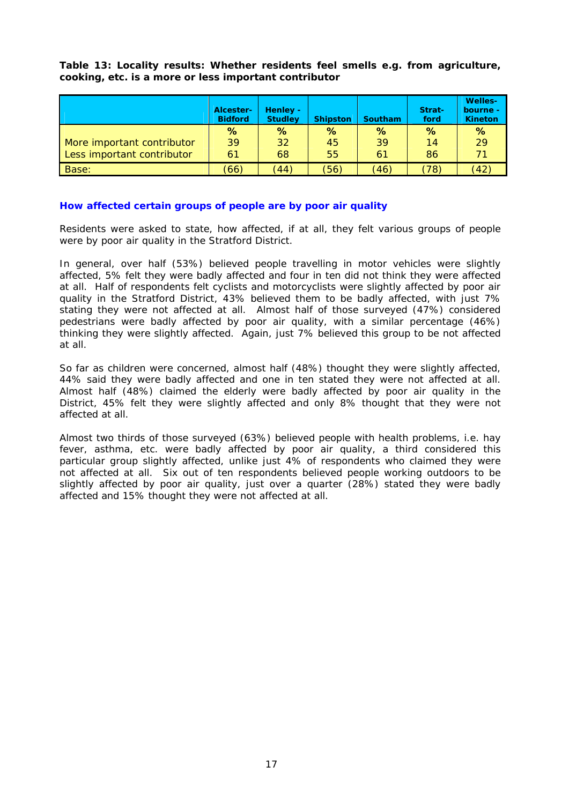**Table 13: Locality results: Whether residents feel smells e.g. from agriculture, cooking, etc. is a more or less important contributor**

|                            | Alcester-<br><b>Bidford</b> | Henley -<br><b>Studley</b> | <b>Shipston</b> | <b>Southam</b> | Strat-<br>ford | <b>Welles-</b><br>bourne -<br><b>Kineton</b> |
|----------------------------|-----------------------------|----------------------------|-----------------|----------------|----------------|----------------------------------------------|
|                            | %                           | $\%$                       | ℅               | $\%$           | $\%$           | $\%$                                         |
| More important contributor | 39                          | 32                         | 45              | 39             | 14             | 29                                           |
| Less important contributor | 61                          | 68                         | 55              | 61             | 86             | 71                                           |
| Base:                      | (66)                        | (44)                       | 56)             | (46)           | (78)           | $42^{\circ}$                                 |

#### **How affected certain groups of people are by poor air quality**

Residents were asked to state, how affected, if at all, they felt various groups of people were by poor air quality in the Stratford District.

In general, over half (53%) believed people travelling in motor vehicles were slightly affected, 5% felt they were badly affected and four in ten did not think they were affected at all. Half of respondents felt cyclists and motorcyclists were slightly affected by poor air quality in the Stratford District, 43% believed them to be badly affected, with just 7% stating they were not affected at all. Almost half of those surveyed (47%) considered pedestrians were badly affected by poor air quality, with a similar percentage (46%) thinking they were slightly affected. Again, just 7% believed this group to be not affected at all.

So far as children were concerned, almost half (48%) thought they were slightly affected, 44% said they were badly affected and one in ten stated they were not affected at all. Almost half (48%) claimed the elderly were badly affected by poor air quality in the District, 45% felt they were slightly affected and only 8% thought that they were not affected at all.

Almost two thirds of those surveyed (63%) believed people with health problems, i.e. hay fever, asthma, etc. were badly affected by poor air quality, a third considered this particular group slightly affected, unlike just 4% of respondents who claimed they were not affected at all. Six out of ten respondents believed people working outdoors to be slightly affected by poor air quality, just over a quarter (28%) stated they were badly affected and 15% thought they were not affected at all.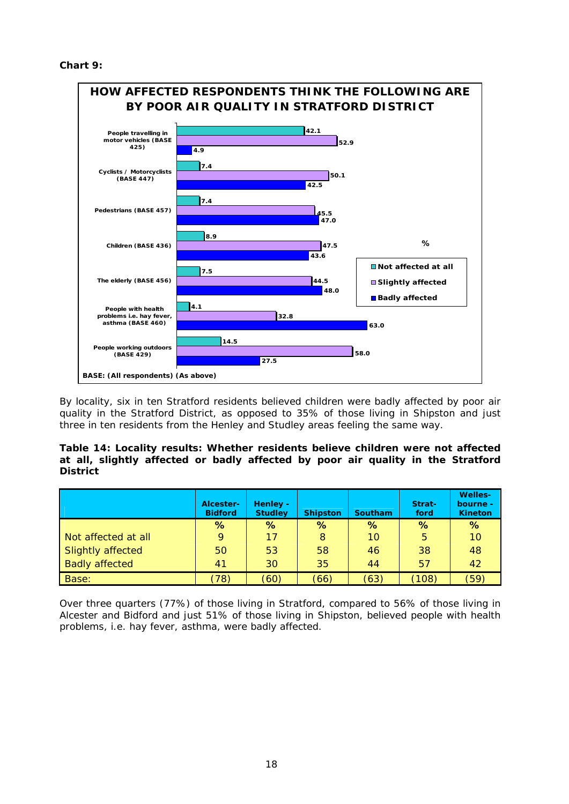

By locality, six in ten Stratford residents believed children were badly affected by poor air quality in the Stratford District, as opposed to 35% of those living in Shipston and just three in ten residents from the Henley and Studley areas feeling the same way.

#### **Table 14: Locality results: Whether residents believe children were not affected at all, slightly affected or badly affected by poor air quality in the Stratford District**

|                       | Alcester-<br><b>Bidford</b> | Henley -<br><b>Studley</b> | <b>Shipston</b> | <b>Southam</b> | Strat-<br>ford | <b>Welles-</b><br>bourne -<br><b>Kineton</b> |
|-----------------------|-----------------------------|----------------------------|-----------------|----------------|----------------|----------------------------------------------|
|                       | $\%$                        | %                          | $\%$            | %              | %              | $\%$                                         |
| Not affected at all   |                             | 17                         | 8               | 10             | 5              | 10                                           |
| Slightly affected     | 50                          | 53                         | 58              | 46             | 38             | 48                                           |
| <b>Badly affected</b> | 41                          | 30                         | 35              | 44             | 57             | 42                                           |
| Base:                 | 78)                         | (60)                       | (66)            | (63)           | (108)          | (59`                                         |

Over three quarters (77%) of those living in Stratford, compared to 56% of those living in Alcester and Bidford and just 51% of those living in Shipston, believed people with health problems, i.e. hay fever, asthma, were badly affected.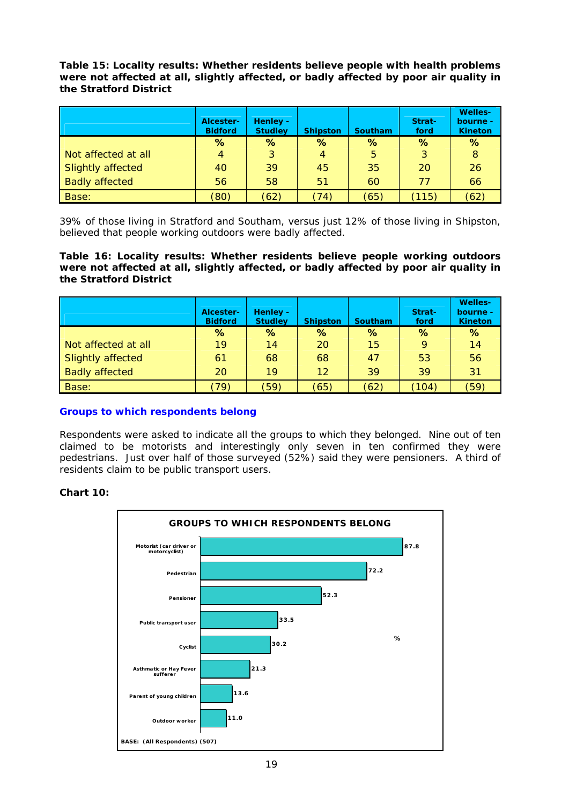**Table 15: Locality results: Whether residents believe people with health problems were not affected at all, slightly affected, or badly affected by poor air quality in the Stratford District**

|                       | Alcester-<br><b>Bidford</b> | Henley -<br><b>Studley</b> | <b>Shipston</b> | <b>Southam</b> | Strat-<br>ford | <b>Welles-</b><br>bourne -<br><b>Kineton</b> |
|-----------------------|-----------------------------|----------------------------|-----------------|----------------|----------------|----------------------------------------------|
|                       | ℅                           | $\%$                       | %               | $\%$           | $\%$           | %                                            |
| Not affected at all   | 4                           | 3                          | 4               | 5              | 3              | 8                                            |
| Slightly affected     | 40                          | 39                         | 45              | 35             | 20             | 26                                           |
| <b>Badly affected</b> | 56                          | 58                         | 51              | 60             | 77             | 66                                           |
| <b>Base:</b>          | (80)                        | (62)                       | (74)            | (65)           | 115)           | (62)                                         |

39% of those living in Stratford and Southam, versus just 12% of those living in Shipston, believed that people working outdoors were badly affected.

**Table 16: Locality results: Whether residents believe people working outdoors were not affected at all, slightly affected, or badly affected by poor air quality in the Stratford District**

|                       | Alcester-<br><b>Bidford</b> | Henley -<br><b>Studley</b> | <b>Shipston</b> | <b>Southam</b> | Strat-<br>ford | <b>Welles-</b><br>bourne -<br><b>Kineton</b> |
|-----------------------|-----------------------------|----------------------------|-----------------|----------------|----------------|----------------------------------------------|
|                       | %                           | %                          | $\%$            | ℅              | %              | $\%$                                         |
| Not affected at all   | 19                          | 14                         | 20              | 15             | 9              | 14                                           |
| Slightly affected     | 61                          | 68                         | 68              | 47             | 53             | 56                                           |
| <b>Badly affected</b> | 20                          | 19                         | 12              | 39             | 39             | 31                                           |
| Base:                 | 79)                         | (59)                       | (65)            | (62)           | (104)          | (59)                                         |

#### **Groups to which respondents belong**

Respondents were asked to indicate all the groups to which they belonged. Nine out of ten claimed to be motorists and interestingly only seven in ten confirmed they were pedestrians. Just over half of those surveyed (52%) said they were pensioners. A third of residents claim to be public transport users.

#### **Chart 10:**

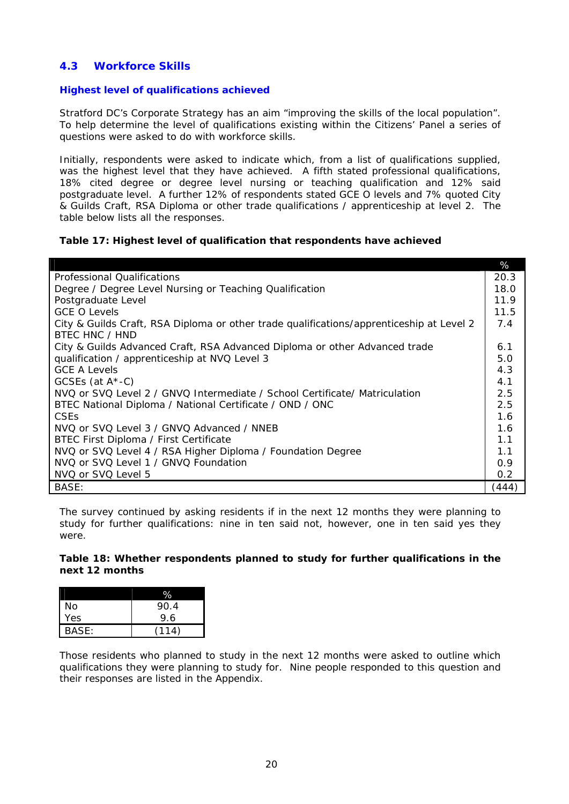# **4.3 Workforce Skills**

#### **Highest level of qualifications achieved**

Stratford DC's Corporate Strategy has an aim "improving the skills of the local population". To help determine the level of qualifications existing within the Citizens' Panel a series of questions were asked to do with workforce skills.

Initially, respondents were asked to indicate which, from a list of qualifications supplied, was the highest level that they have achieved. A fifth stated professional qualifications, 18% cited degree or degree level nursing or teaching qualification and 12% said postgraduate level. A further 12% of respondents stated GCE O levels and 7% quoted City & Guilds Craft, RSA Diploma or other trade qualifications / apprenticeship at level 2. The table below lists all the responses.

#### **Table 17: Highest level of qualification that respondents have achieved**

|                                                                                          | %     |
|------------------------------------------------------------------------------------------|-------|
| <b>Professional Qualifications</b>                                                       | 20.3  |
| Degree / Degree Level Nursing or Teaching Qualification                                  | 18.0  |
| Postgraduate Level                                                                       | 11.9  |
| <b>GCE O Levels</b>                                                                      | 11.5  |
| City & Guilds Craft, RSA Diploma or other trade qualifications/apprenticeship at Level 2 | 7.4   |
| <b>BTFC HNC / HND</b>                                                                    |       |
| City & Guilds Advanced Craft, RSA Advanced Diploma or other Advanced trade               | 6.1   |
| qualification / apprenticeship at NVQ Level 3                                            | 5.0   |
| <b>GCE A Levels</b>                                                                      | 4.3   |
| GCSEs (at $A^*$ -C)                                                                      | 4.1   |
| NVQ or SVQ Level 2 / GNVQ Intermediate / School Certificate/ Matriculation               | 2.5   |
| BTEC National Diploma / National Certificate / OND / ONC                                 | 2.5   |
| <b>CSEs</b>                                                                              | 1.6   |
| NVQ or SVQ Level 3 / GNVQ Advanced / NNEB                                                | 1.6   |
| BTEC First Diploma / First Certificate                                                   | 1.1   |
| NVQ or SVQ Level 4 / RSA Higher Diploma / Foundation Degree                              | 1.1   |
| NVQ or SVQ Level 1 / GNVQ Foundation                                                     | 0.9   |
| NVQ or SVQ Level 5                                                                       | 0.2   |
| BASE:                                                                                    | (444) |

The survey continued by asking residents if in the next 12 months they were planning to study for further qualifications: nine in ten said not, however, one in ten said yes they were.

#### **Table 18: Whether respondents planned to study for further qualifications in the next 12 months**

| No    | 90.4  |
|-------|-------|
| Yes   | 9.6   |
| BASE: | (114) |

Those residents who planned to study in the next 12 months were asked to outline which qualifications they were planning to study for. Nine people responded to this question and their responses are listed in the Appendix.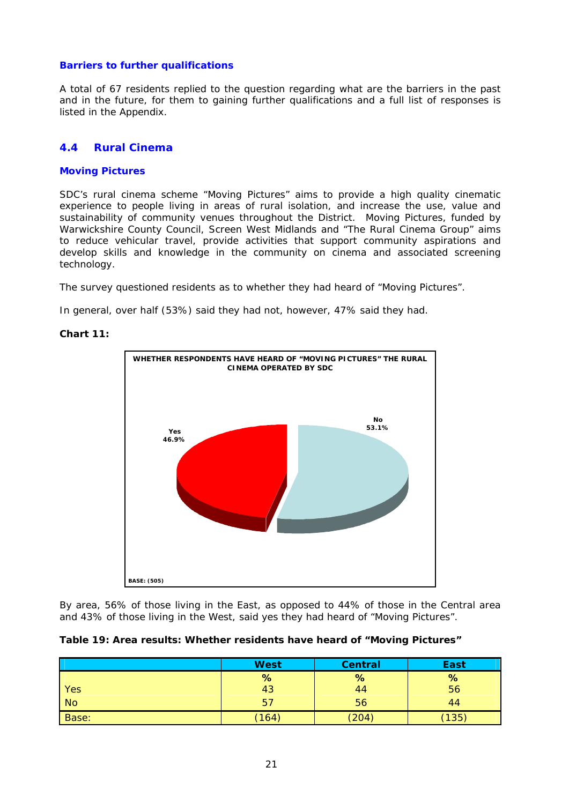#### **Barriers to further qualifications**

A total of 67 residents replied to the question regarding what are the barriers in the past and in the future, for them to gaining further qualifications and a full list of responses is listed in the Appendix.

#### **4.4 Rural Cinema**

#### **Moving Pictures**

SDC's rural cinema scheme "Moving Pictures" aims to provide a high quality cinematic experience to people living in areas of rural isolation, and increase the use, value and sustainability of community venues throughout the District. Moving Pictures, funded by Warwickshire County Council, Screen West Midlands and "The Rural Cinema Group" aims to reduce vehicular travel, provide activities that support community aspirations and develop skills and knowledge in the community on cinema and associated screening technology.

The survey questioned residents as to whether they had heard of "Moving Pictures".

In general, over half (53%) said they had not, however, 47% said they had.

#### **Chart 11:**



By area, 56% of those living in the East, as opposed to 44% of those in the Central area and 43% of those living in the West, said yes they had heard of "Moving Pictures".

|  |  |  |  |  |  |  |  | Table 19: Area results: Whether residents have heard of "Moving Pictures" |
|--|--|--|--|--|--|--|--|---------------------------------------------------------------------------|
|--|--|--|--|--|--|--|--|---------------------------------------------------------------------------|

|                | <b>West</b> | <b>Central</b> | <b>East</b> |
|----------------|-------------|----------------|-------------|
|                | %           | %              | %           |
| Yes            | 43          | 44             | 56          |
| N <sub>o</sub> | 57          | 56             | 44          |
| Base:          | (164)       | (204)          | (135)       |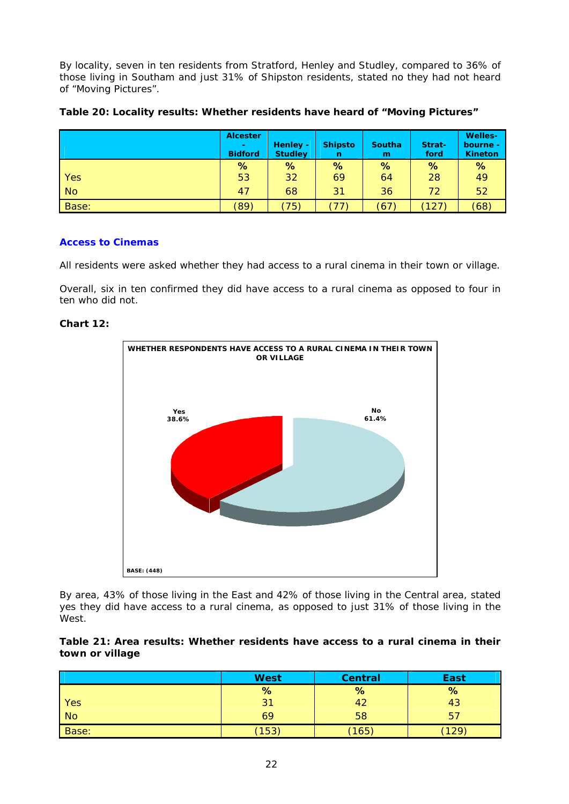By locality, seven in ten residents from Stratford, Henley and Studley, compared to 36% of those living in Southam and just 31% of Shipston residents, stated no they had not heard of "Moving Pictures".

**Table 20: Locality results: Whether residents have heard of "Moving Pictures"**

|            | <b>Alcester</b><br>$\sim$<br><b>Bidford</b> | Henley -<br><b>Studley</b> | <b>Shipsto</b><br>n      | <b>Southa</b><br>m | Strat-<br>ford | <b>Welles-</b><br>bourne -<br><b>Kineton</b> |
|------------|---------------------------------------------|----------------------------|--------------------------|--------------------|----------------|----------------------------------------------|
|            | %                                           | %                          | %                        | %                  | %              | %                                            |
| <b>Yes</b> | 53                                          | 32                         | 69                       | 64                 | 28             | 49                                           |
| <b>No</b>  | 47                                          | 68                         | 31                       | 36                 | 72             | 52                                           |
| Base:      | (89)                                        | 75)                        | $\overline{\phantom{a}}$ | (67)               | (127)          | (68)                                         |

#### **Access to Cinemas**

All residents were asked whether they had access to a rural cinema in their town or village.

Overall, six in ten confirmed they did have access to a rural cinema as opposed to four in ten who did not.

#### **Chart 12:**



By area, 43% of those living in the East and 42% of those living in the Central area, stated yes they did have access to a rural cinema, as opposed to just 31% of those living in the West.

#### **Table 21: Area results: Whether residents have access to a rural cinema in their town or village**

|       | <b>West</b> | <b>Central</b> | <b>East</b> |
|-------|-------------|----------------|-------------|
|       | %           | %              | %           |
| Yes   | 31          |                | 43          |
| No    | 69          | 58             | 57          |
| Base: | (153)       | (165)          | 129         |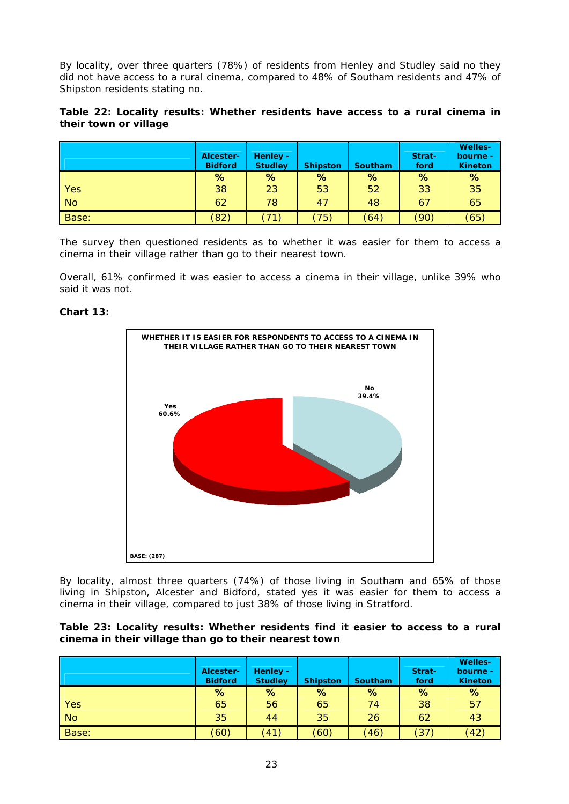By locality, over three quarters (78%) of residents from Henley and Studley said no they did not have access to a rural cinema, compared to 48% of Southam residents and 47% of Shipston residents stating no.

#### **Table 22: Locality results: Whether residents have access to a rural cinema in their town or village**

|           | Alcester-<br><b>Bidford</b> | Henley -<br><b>Studley</b> | <b>Shipston</b> | <b>Southam</b> | Strat-<br>ford | <b>Welles-</b><br>bourne -<br><b>Kineton</b> |
|-----------|-----------------------------|----------------------------|-----------------|----------------|----------------|----------------------------------------------|
|           | %                           | %                          | %               | %              | %              | %                                            |
| Yes       | 38                          | 23                         | 53              | 52             | 33             | 35                                           |
| <b>No</b> | 62                          | 78                         | 47              | 48             | 67             | 65                                           |
| Base:     | (82)                        | 71                         | (75)            | (64)           | (90)           | (65)                                         |

The survey then questioned residents as to whether it was easier for them to access a cinema in their village rather than go to their nearest town.

Overall, 61% confirmed it was easier to access a cinema in their village, unlike 39% who said it was not.

#### **Chart 13:**



By locality, almost three quarters (74%) of those living in Southam and 65% of those living in Shipston, Alcester and Bidford, stated yes it was easier for them to access a cinema in their village, compared to just 38% of those living in Stratford.

#### **Table 23: Locality results: Whether residents find it easier to access to a rural cinema in their village than go to their nearest town**

|           | Alcester-<br><b>Bidford</b> | Henley -<br><b>Studley</b> | <b>Shipston</b> | <b>Southam</b> | Strat-<br>ford | <b>Welles-</b><br>bourne -<br><b>Kineton</b> |
|-----------|-----------------------------|----------------------------|-----------------|----------------|----------------|----------------------------------------------|
|           | %                           | %                          | %               | %              | %              | %                                            |
| Yes       | 65                          | 56                         | 65              | 74             | 38             | 57                                           |
| <b>No</b> | 35                          | 44                         | 35              | 26             | 62             | 43                                           |
| Base:     | (60)                        | (41)                       | (60)            | (46)           | (37)           | (42)                                         |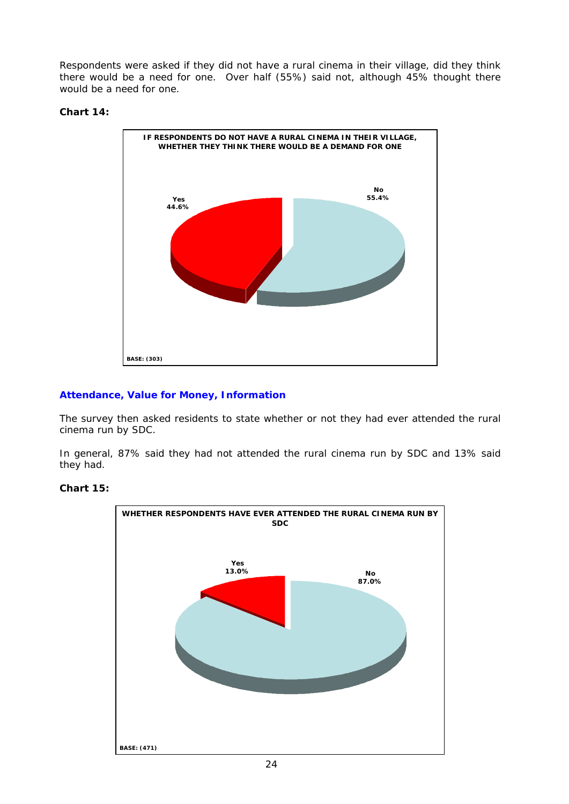Respondents were asked if they did not have a rural cinema in their village, did they think there would be a need for one. Over half (55%) said not, although 45% thought there would be a need for one.

#### **Chart 14:**



#### **Attendance, Value for Money, Information**

The survey then asked residents to state whether or not they had ever attended the rural cinema run by SDC.

In general, 87% said they had not attended the rural cinema run by SDC and 13% said they had.



#### **Chart 15:**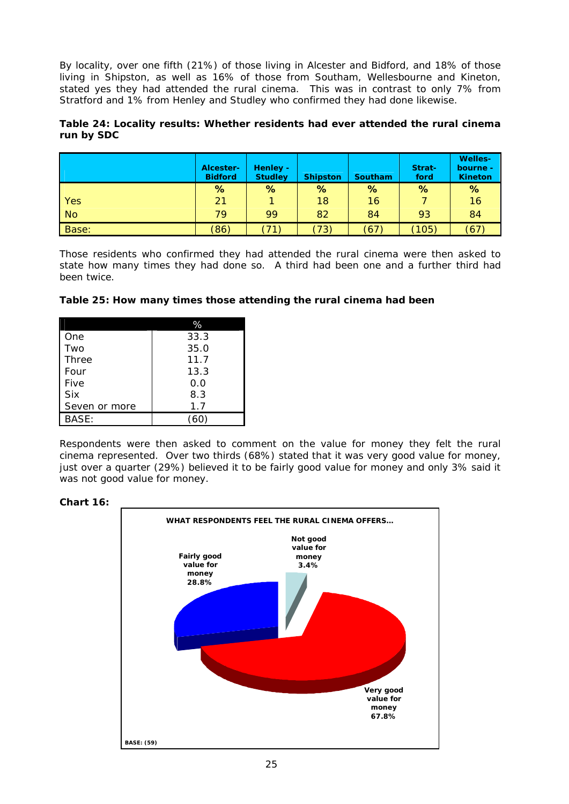By locality, over one fifth (21%) of those living in Alcester and Bidford, and 18% of those living in Shipston, as well as 16% of those from Southam, Wellesbourne and Kineton, stated yes they had attended the rural cinema. This was in contrast to only 7% from Stratford and 1% from Henley and Studley who confirmed they had done likewise.

#### **Table 24: Locality results: Whether residents had ever attended the rural cinema run by SDC**

|            | Alcester-<br><b>Bidford</b> | Henley -<br><b>Studley</b> | <b>Shipston</b> | <b>Southam</b> | Strat-<br>ford | <b>Welles-</b><br>bourne -<br><b>Kineton</b> |
|------------|-----------------------------|----------------------------|-----------------|----------------|----------------|----------------------------------------------|
|            | %                           | %                          | %               | %              | %              | $\%$                                         |
| <b>Yes</b> | 21                          |                            | 18              | 16             |                | 16                                           |
| No         | 79                          | 99                         | 82              | 84             | 93             | 84                                           |
| Base:      | (86)                        | (71)                       | (73)            | (67)           | (105)          | (67)                                         |

Those residents who confirmed they had attended the rural cinema were then asked to state how many times they had done so. A third had been one and a further third had been twice.

#### **Table 25: How many times those attending the rural cinema had been**

| One           | 33.3 |
|---------------|------|
| Two           | 35.0 |
| Three         | 11.7 |
| Four          | 13.3 |
| Five          | 0.0  |
| <b>Six</b>    | 8.3  |
| Seven or more | 1.7  |
| RASF:         |      |

Respondents were then asked to comment on the value for money they felt the rural cinema represented. Over two thirds (68%) stated that it was very good value for money, just over a quarter (29%) believed it to be fairly good value for money and only 3% said it was not good value for money.



#### **Chart 16:**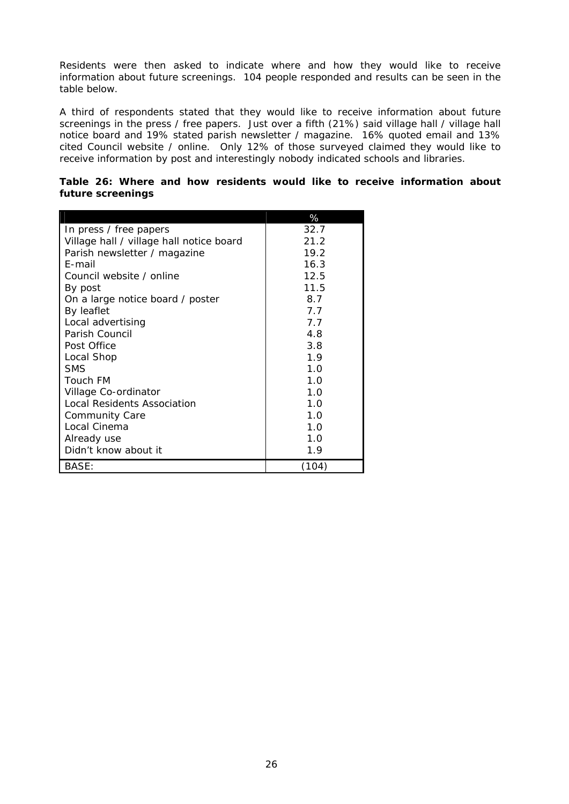Residents were then asked to indicate where and how they would like to receive information about future screenings. 104 people responded and results can be seen in the table below.

A third of respondents stated that they would like to receive information about future screenings in the press / free papers. Just over a fifth (21%) said village hall / village hall notice board and 19% stated parish newsletter / magazine. 16% quoted email and 13% cited Council website / online. Only 12% of those surveyed claimed they would like to receive information by post and interestingly nobody indicated schools and libraries.

|  |                   |  |  |  | Table 26: Where and how residents would like to receive information about |  |
|--|-------------------|--|--|--|---------------------------------------------------------------------------|--|
|  | future screenings |  |  |  |                                                                           |  |

|                                          | %     |
|------------------------------------------|-------|
| In press / free papers                   | 32.7  |
| Village hall / village hall notice board | 21.2  |
| Parish newsletter / magazine             | 19.2  |
| E-mail                                   | 16.3  |
| Council website / online                 | 12.5  |
| By post                                  | 11.5  |
| On a large notice board / poster         | 8.7   |
| By leaflet                               | 77    |
| Local advertising                        | 7.7   |
| Parish Council                           | 4.8   |
| Post Office                              | 3.8   |
| Local Shop                               | 1.9   |
| <b>SMS</b>                               | 1.0   |
| Touch FM                                 | 1.0   |
| Village Co-ordinator                     | 1 N   |
| Local Residents Association              | 1.0   |
| <b>Community Care</b>                    | 1.0   |
| Local Cinema                             | 1.0   |
| Already use                              | 1.0   |
| Didn't know about it                     | 1.9   |
| BASE:                                    | (104) |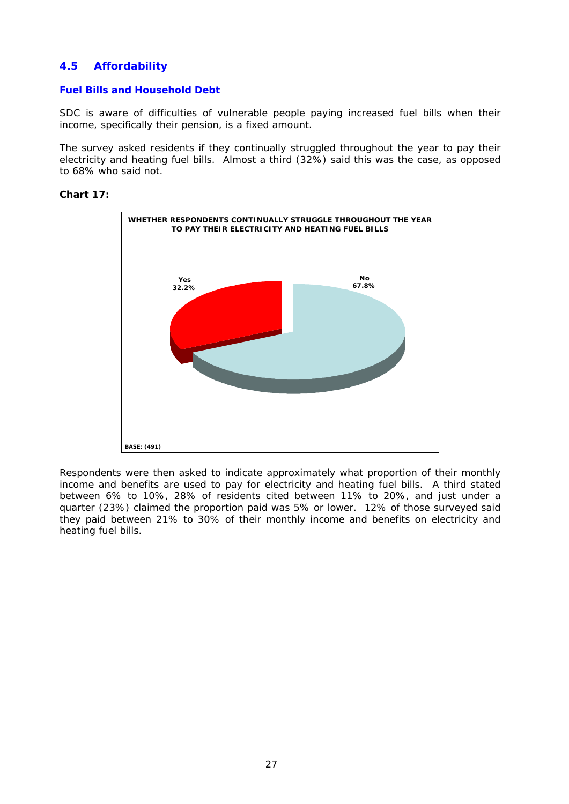# **4.5 Affordability**

#### **Fuel Bills and Household Debt**

SDC is aware of difficulties of vulnerable people paying increased fuel bills when their income, specifically their pension, is a fixed amount.

The survey asked residents if they continually struggled throughout the year to pay their electricity and heating fuel bills. Almost a third (32%) said this was the case, as opposed to 68% who said not.

#### **Chart 17:**



Respondents were then asked to indicate approximately what proportion of their monthly income and benefits are used to pay for electricity and heating fuel bills. A third stated between 6% to 10%, 28% of residents cited between 11% to 20%, and just under a quarter (23%) claimed the proportion paid was 5% or lower. 12% of those surveyed said they paid between 21% to 30% of their monthly income and benefits on electricity and heating fuel bills.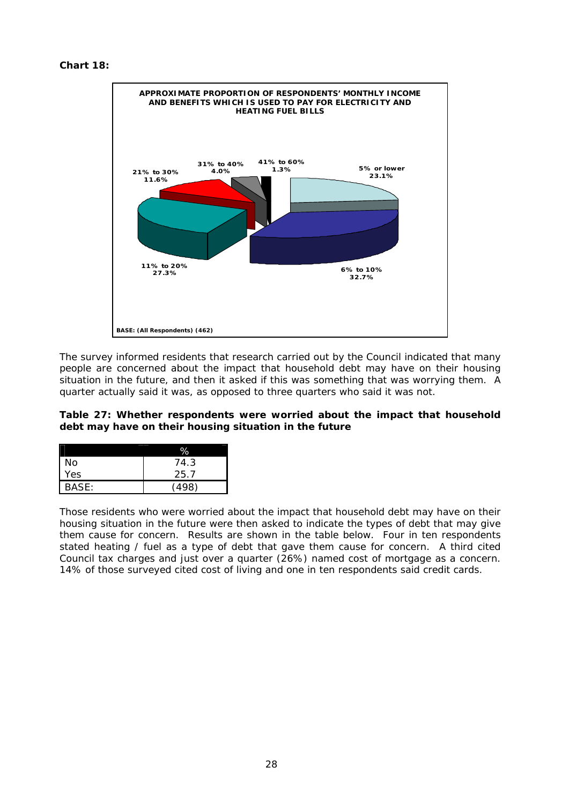```
Chart 18:
```


The survey informed residents that research carried out by the Council indicated that many people are concerned about the impact that household debt may have on their housing situation in the future, and then it asked if this was something that was worrying them. A quarter actually said it was, as opposed to three quarters who said it was not.

#### **Table 27: Whether respondents were worried about the impact that household debt may have on their housing situation in the future**

|       | ℅     |
|-------|-------|
| No    | 74.3  |
| Yes   | 25.7  |
| BASE: | ั498) |

Those residents who were worried about the impact that household debt may have on their housing situation in the future were then asked to indicate the types of debt that may give them cause for concern. Results are shown in the table below. Four in ten respondents stated heating / fuel as a type of debt that gave them cause for concern. A third cited Council tax charges and just over a quarter (26%) named cost of mortgage as a concern. 14% of those surveyed cited cost of living and one in ten respondents said credit cards.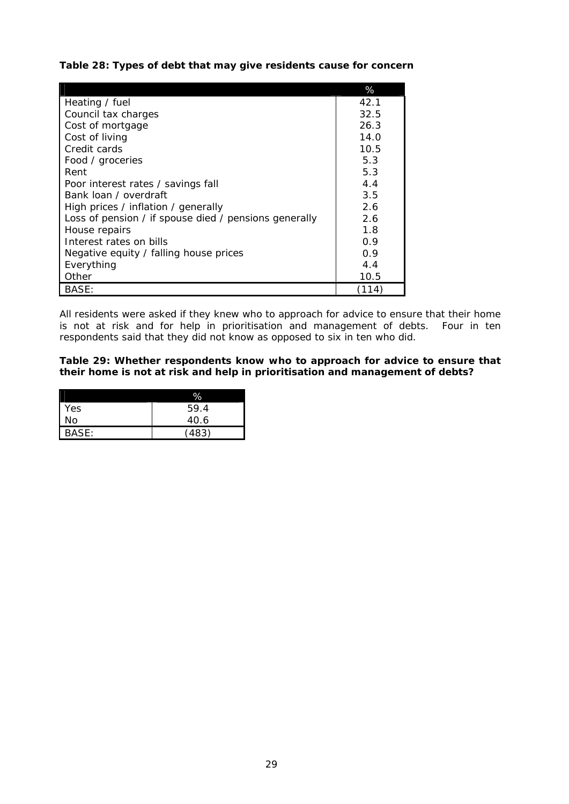**Table 28: Types of debt that may give residents cause for concern** 

|                                                       | %     |
|-------------------------------------------------------|-------|
| Heating / fuel                                        | 42.1  |
| Council tax charges                                   | 32.5  |
| Cost of mortgage                                      | 26.3  |
| Cost of living                                        | 14.0  |
| Credit cards                                          | 10.5  |
| Food / groceries                                      | 5.3   |
| Rent                                                  | 5.3   |
| Poor interest rates / savings fall                    | 4.4   |
| Bank Joan / overdraft                                 | 3.5   |
| High prices / inflation / generally                   | 2.6   |
| Loss of pension / if spouse died / pensions generally | 2.6   |
| House repairs                                         | 1.8   |
| Interest rates on bills                               | 0.9   |
| Negative equity / falling house prices                | 0.9   |
| Everything                                            | 4.4   |
| Other                                                 | 10.5  |
| BASE:                                                 | (114) |

All residents were asked if they knew who to approach for advice to ensure that their home is not at risk and for help in prioritisation and management of debts. Four in ten respondents said that they did not know as opposed to six in ten who did.

**Table 29: Whether respondents know who to approach for advice to ensure that their home is not at risk and help in prioritisation and management of debts?**

|            | %     |
|------------|-------|
| <b>Yes</b> | 59.4  |
| No         | 40.6  |
| BASE:      | (483) |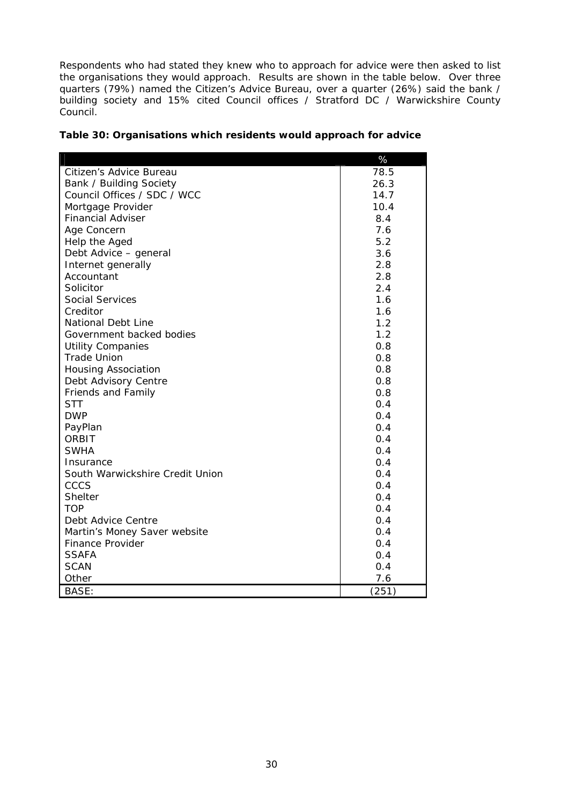Respondents who had stated they knew who to approach for advice were then asked to list the organisations they would approach. Results are shown in the table below. Over three quarters (79%) named the Citizen's Advice Bureau, over a quarter (26%) said the bank / building society and 15% cited Council offices / Stratford DC / Warwickshire County Council.

|                                 | %     |
|---------------------------------|-------|
| Citizen's Advice Bureau         | 78.5  |
| Bank / Building Society         | 26.3  |
| Council Offices / SDC / WCC     | 14.7  |
| Mortgage Provider               | 10.4  |
| <b>Financial Adviser</b>        | 8.4   |
| Age Concern                     | 7.6   |
| Help the Aged                   | 5.2   |
| Debt Advice - general           | 3.6   |
| Internet generally              | 2.8   |
| Accountant                      | 2.8   |
| Solicitor                       | 2.4   |
| Social Services                 | 1.6   |
| Creditor                        | 1.6   |
| <b>National Debt Line</b>       | 1.2   |
| Government backed bodies        | 1.2   |
| <b>Utility Companies</b>        | 0.8   |
| <b>Trade Union</b>              | 0.8   |
| <b>Housing Association</b>      | 0.8   |
| Debt Advisory Centre            | 0.8   |
| Friends and Family              | 0.8   |
| <b>STT</b>                      | 0.4   |
| <b>DWP</b>                      | 0.4   |
| PayPlan                         | 0.4   |
| ORBIT                           | 0.4   |
| <b>SWHA</b>                     | 0.4   |
| Insurance                       | 0.4   |
| South Warwickshire Credit Union | 0.4   |
| CCCS                            | 0.4   |
| <b>Shelter</b>                  | 0.4   |
| <b>TOP</b>                      | 0.4   |
| Debt Advice Centre              | 0.4   |
| Martin's Money Saver website    | 0.4   |
| <b>Finance Provider</b>         | 0.4   |
| <b>SSAFA</b>                    | 0.4   |
| <b>SCAN</b>                     | 0.4   |
| Other                           | 7.6   |
| <b>BASE:</b>                    | (251) |

| Table 30: Organisations which residents would approach for advice |  |  |
|-------------------------------------------------------------------|--|--|
|-------------------------------------------------------------------|--|--|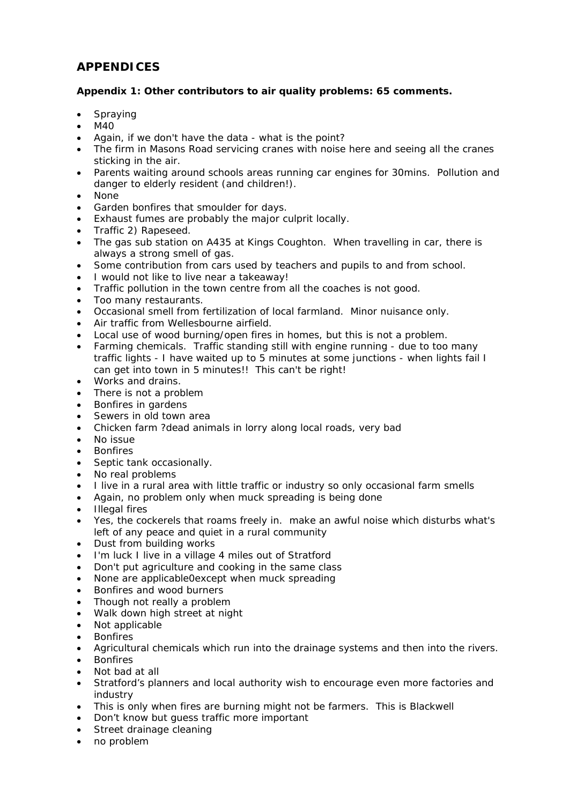# *APPENDICES*

#### *Appendix 1: Other contributors to air quality problems: 65 comments.*

- **Spraying**
- M40
- Again, if we don't have the data what is the point?
- The firm in Masons Road servicing cranes with noise here and seeing all the cranes sticking in the air.
- Parents waiting around schools areas running car engines for 30mins. Pollution and danger to elderly resident (and children!).
- None
- Garden bonfires that smoulder for days.
- Exhaust fumes are probably the major culprit locally.
- Traffic 2) Rapeseed.
- The gas sub station on A435 at Kings Coughton. When travelling in car, there is always a strong smell of gas.
- Some contribution from cars used by teachers and pupils to and from school.
- I would not like to live near a takeaway!
- Traffic pollution in the town centre from all the coaches is not good.
- Too many restaurants.
- Occasional smell from fertilization of local farmland. Minor nuisance only.
- Air traffic from Wellesbourne airfield.
- Local use of wood burning/open fires in homes, but this is not a problem.
- Farming chemicals. Traffic standing still with engine running due to too many traffic lights - I have waited up to 5 minutes at some junctions - when lights fail I can get into town in 5 minutes!! This can't be right!
- Works and drains.
- There is not a problem
- Bonfires in gardens
- Sewers in old town area
- Chicken farm ?dead animals in lorry along local roads, very bad
- No issue
- **Bonfires**
- Septic tank occasionally.
- No real problems
- I live in a rural area with little traffic or industry so only occasional farm smells
- Again, no problem only when muck spreading is being done
- Illegal fires
- Yes, the cockerels that roams freely in. make an awful noise which disturbs what's left of any peace and quiet in a rural community
- Dust from building works
- I'm luck I live in a village 4 miles out of Stratford
- Don't put agriculture and cooking in the same class
- None are applicable0except when muck spreading
- Bonfires and wood burners
- Though not really a problem
- Walk down high street at night
- Not applicable
- **Bonfires**
- Agricultural chemicals which run into the drainage systems and then into the rivers.
- **Bonfires**
- Not bad at all
- Stratford's planners and local authority wish to encourage even more factories and industry
- This is only when fires are burning might not be farmers. This is Blackwell
- Don't know but quess traffic more important
- Street drainage cleaning
- no problem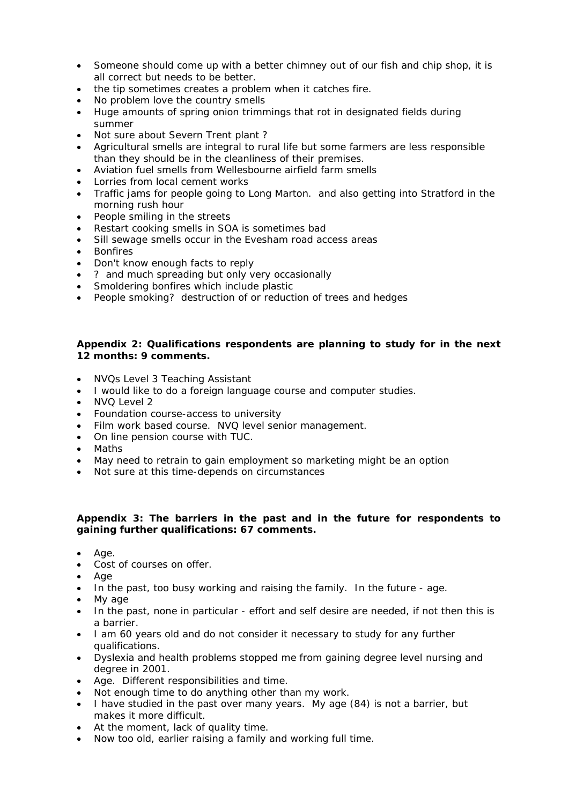- Someone should come up with a better chimney out of our fish and chip shop, it is all correct but needs to be better.
- the tip sometimes creates a problem when it catches fire.
- No problem love the country smells
- Huge amounts of spring onion trimmings that rot in designated fields during summer
- Not sure about Severn Trent plant?
- Agricultural smells are integral to rural life but some farmers are less responsible than they should be in the cleanliness of their premises.
- Aviation fuel smells from Wellesbourne airfield farm smells
- Lorries from local cement works
- Traffic jams for people going to Long Marton. and also getting into Stratford in the morning rush hour
- People smiling in the streets
- Restart cooking smells in SOA is sometimes bad
- Sill sewage smells occur in the Evesham road access areas
- **Bonfires**
- Don't know enough facts to reply
- ? and much spreading but only very occasionally
- Smoldering bonfires which include plastic
- People smoking? destruction of or reduction of trees and hedges

#### *Appendix 2: Qualifications respondents are planning to study for in the next 12 months: 9 comments.*

- NVQs Level 3 Teaching Assistant
- I would like to do a foreign language course and computer studies.
- NVQ Level 2
- Foundation course-access to university
- Film work based course. NVQ level senior management.
- On line pension course with TUC.
- Maths
- May need to retrain to gain employment so marketing might be an option
- Not sure at this time-depends on circumstances

#### *Appendix 3: The barriers in the past and in the future for respondents to gaining further qualifications: 67 comments.*

- Age.
- Cost of courses on offer.
- Age
- In the past, too busy working and raising the family. In the future age.
- My age
- In the past, none in particular effort and self desire are needed, if not then this is a barrier.
- I am 60 years old and do not consider it necessary to study for any further qualifications.
- Dyslexia and health problems stopped me from gaining degree level nursing and degree in 2001.
- Age. Different responsibilities and time.
- Not enough time to do anything other than my work.
- I have studied in the past over many years. My age (84) is not a barrier, but makes it more difficult.
- At the moment, lack of quality time.
- Now too old, earlier raising a family and working full time.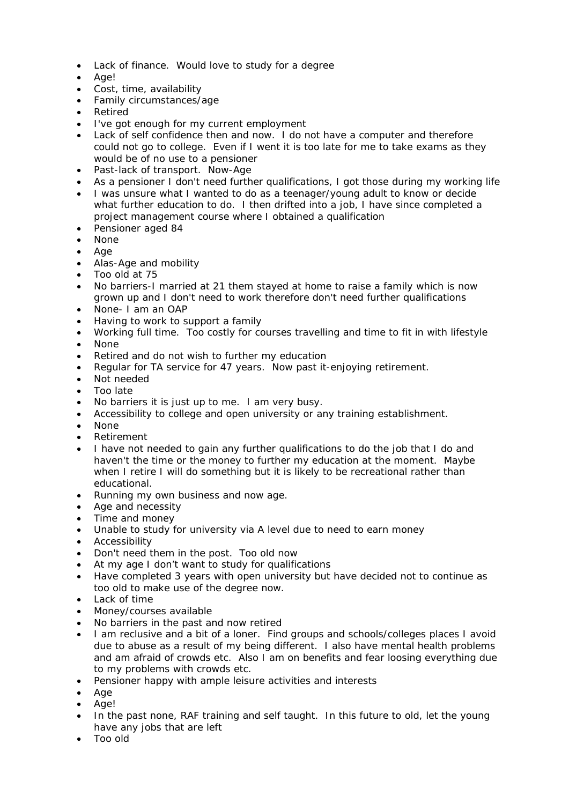- Lack of finance. Would love to study for a degree
- Age!
- Cost, time, availability
- Family circumstances/age
- Retired
- I've got enough for my current employment
- Lack of self confidence then and now. I do not have a computer and therefore could not go to college. Even if I went it is too late for me to take exams as they would be of no use to a pensioner
- Past-lack of transport. Now-Age
- As a pensioner I don't need further qualifications, I got those during my working life
- I was unsure what I wanted to do as a teenager/young adult to know or decide what further education to do. I then drifted into a job, I have since completed a project management course where I obtained a qualification
- Pensioner aged 84
- None
- Age
- Alas-Age and mobility
- Too old at 75
- No barriers-I married at 21 them stayed at home to raise a family which is now grown up and I don't need to work therefore don't need further qualifications
- None- I am an OAP
- Having to work to support a family
- Working full time. Too costly for courses travelling and time to fit in with lifestyle
- None
- Retired and do not wish to further my education
- Regular for TA service for 47 years. Now past it-enjoying retirement.
- Not needed
- Too late
- No barriers it is just up to me. I am very busy.
- Accessibility to college and open university or any training establishment.
- None
- Retirement
- I have not needed to gain any further qualifications to do the job that I do and haven't the time or the money to further my education at the moment. Maybe when I retire I will do something but it is likely to be recreational rather than educational.
- Running my own business and now age.
- Age and necessity
- Time and money
- Unable to study for university via A level due to need to earn money
- Accessibility
- Don't need them in the post. Too old now
- At my age I don't want to study for qualifications
- Have completed 3 years with open university but have decided not to continue as too old to make use of the degree now.
- Lack of time
- Money/courses available
- No barriers in the past and now retired
- I am reclusive and a bit of a loner. Find groups and schools/colleges places I avoid due to abuse as a result of my being different. I also have mental health problems and am afraid of crowds etc. Also I am on benefits and fear loosing everything due to my problems with crowds etc.
- Pensioner happy with ample leisure activities and interests
- Age
- Age!
- In the past none, RAF training and self taught. In this future to old, let the young have any jobs that are left
- Too old